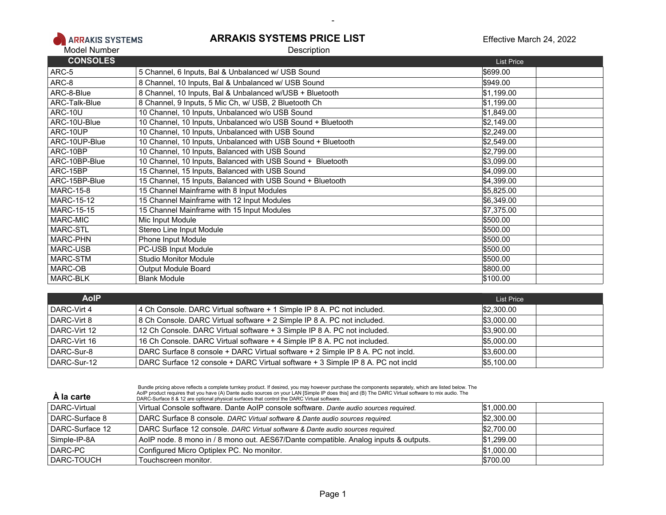

## **ARRAKIS SYSTEMS PRICE LIST Description**

## Effective March 24, 2022

| <b>CONSOLES</b>   |                                                              | <b>List Price</b> |  |
|-------------------|--------------------------------------------------------------|-------------------|--|
| ARC-5             | 5 Channel, 6 Inputs, Bal & Unbalanced w/ USB Sound           | \$699.00          |  |
| ARC-8             | 8 Channel, 10 Inputs, Bal & Unbalanced w/ USB Sound          | \$949.00          |  |
| ARC-8-Blue        | 8 Channel, 10 Inputs, Bal & Unbalanced w/USB + Bluetooth     | \$1,199.00        |  |
| ARC-Talk-Blue     | 8 Channel, 9 Inputs, 5 Mic Ch, w/ USB, 2 Bluetooth Ch        | \$1,199.00        |  |
| <b>ARC-10U</b>    | 10 Channel, 10 Inputs, Unbalanced w/o USB Sound              | \$1,849.00        |  |
| ARC-10U-Blue      | 10 Channel, 10 Inputs, Unbalanced w/o USB Sound + Bluetooth  | \$2,149.00        |  |
| ARC-10UP          | 10 Channel, 10 Inputs, Unbalanced with USB Sound             | \$2,249.00        |  |
| ARC-10UP-Blue     | 10 Channel, 10 Inputs, Unbalanced with USB Sound + Bluetooth | \$2,549.00        |  |
| ARC-10BP          | 10 Channel, 10 Inputs, Balanced with USB Sound               | \$2,799.00        |  |
| ARC-10BP-Blue     | 10 Channel, 10 Inputs, Balanced with USB Sound + Bluetooth   | \$3,099.00        |  |
| ARC-15BP          | 15 Channel, 15 Inputs, Balanced with USB Sound               | \$4,099.00        |  |
| ARC-15BP-Blue     | 15 Channel, 15 Inputs, Balanced with USB Sound + Bluetooth   | \$4,399.00        |  |
| <b>MARC-15-8</b>  | 15 Channel Mainframe with 8 Input Modules                    | \$5,825.00        |  |
| <b>MARC-15-12</b> | 15 Channel Mainframe with 12 Input Modules                   | \$6,349.00        |  |
| <b>MARC-15-15</b> | 15 Channel Mainframe with 15 Input Modules                   | \$7,375.00        |  |
| MARC-MIC          | Mic Input Module                                             | \$500.00          |  |
| MARC-STL          | Stereo Line Input Module                                     | \$500.00          |  |
| MARC-PHN          | Phone Input Module                                           | \$500.00          |  |
| MARC-USB          | PC-USB Input Module                                          | \$500.00          |  |
| MARC-STM          | <b>Studio Monitor Module</b>                                 | \$500.00          |  |
| MARC-OB           | Output Module Board                                          | \$800.00          |  |
| MARC-BLK          | <b>Blank Module</b>                                          | \$100.00          |  |

-

| <b>AoIP</b>  |                                                                                 | List Price |
|--------------|---------------------------------------------------------------------------------|------------|
| DARC-Virt 4  | 4 Ch Console. DARC Virtual software + 1 Simple IP 8 A. PC not included.         | \$2,300.00 |
| DARC-Virt 8  | 8 Ch Console. DARC Virtual software + 2 Simple IP 8 A. PC not included.         | \$3,000.00 |
| DARC-Virt 12 | 12 Ch Console. DARC Virtual software + 3 Simple IP 8 A. PC not included.        | \$3,900.00 |
| DARC-Virt 16 | 16 Ch Console. DARC Virtual software + 4 Simple IP 8 A. PC not included.        | \$5,000.00 |
| DARC-Sur-8   | DARC Surface 8 console + DARC Virtual software + 2 Simple IP 8 A. PC not incld. | \$3,600.00 |
| DARC-Sur-12  | DARC Surface 12 console + DARC Virtual software + 3 Simple IP 8 A. PC not incld | \$5,100.00 |

| A la carte      | Bundle pricing above reflects a complete turnkey product. If desired, you may however purchase the components separately, which are listed below. The<br>AoIP product requires that you have (A) Dante audio sources on your LAN [Simple IP does this] and (B) The DARC Virtual software to mix audio. The<br>DARC-Surface 8 & 12 are optional physical surfaces that control the DARC Virtual software. |            |
|-----------------|----------------------------------------------------------------------------------------------------------------------------------------------------------------------------------------------------------------------------------------------------------------------------------------------------------------------------------------------------------------------------------------------------------|------------|
| DARC-Virtual    | Virtual Console software. Dante AoIP console software. Dante audio sources required.                                                                                                                                                                                                                                                                                                                     | \$1,000.00 |
| DARC-Surface 8  | DARC Surface 8 console. DARC Virtual software & Dante audio sources required.                                                                                                                                                                                                                                                                                                                            | \$2,300.00 |
| DARC-Surface 12 | DARC Surface 12 console. DARC Virtual software & Dante audio sources required.                                                                                                                                                                                                                                                                                                                           | \$2,700.00 |
| Simple-IP-8A    | AoIP node. 8 mono in / 8 mono out. AES67/Dante compatible. Analog inputs & outputs.                                                                                                                                                                                                                                                                                                                      | \$1,299.00 |
| DARC-PC         | Configured Micro Optiplex PC. No monitor.                                                                                                                                                                                                                                                                                                                                                                | \$1.000.00 |
| DARC-TOUCH      | Touchscreen monitor.                                                                                                                                                                                                                                                                                                                                                                                     | \$700.00   |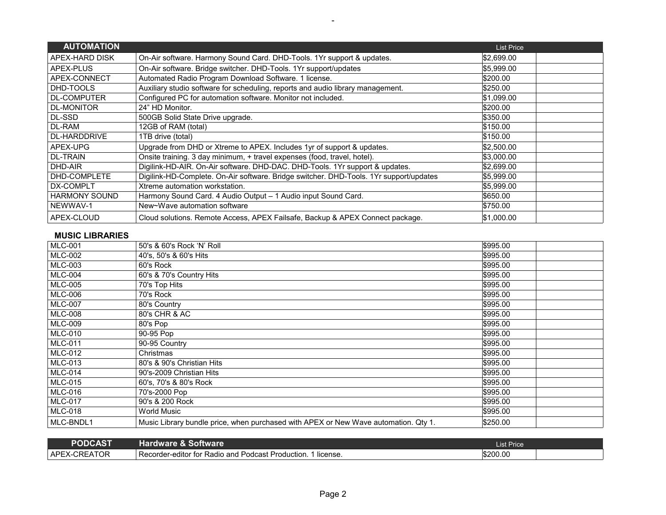| <b>AUTOMATION</b>    |                                                                                        | <b>List Price</b> |
|----------------------|----------------------------------------------------------------------------------------|-------------------|
| APEX-HARD DISK       | On-Air software. Harmony Sound Card. DHD-Tools. 1Yr support & updates.                 | \$2,699.00        |
| APEX-PLUS            | On-Air software. Bridge switcher. DHD-Tools. 1Yr support/updates                       | \$5,999.00        |
| APEX-CONNECT         | Automated Radio Program Download Software. 1 license.                                  | \$200.00          |
| DHD-TOOLS            | Auxiliary studio software for scheduling, reports and audio library management.        | \$250.00          |
| <b>DL-COMPUTER</b>   | Configured PC for automation software. Monitor not included.                           | \$1,099.00        |
| <b>DL-MONITOR</b>    | 24" HD Monitor.                                                                        | \$200.00          |
| DL-SSD               | 500GB Solid State Drive upgrade.                                                       | \$350.00          |
| DL-RAM               | 12GB of RAM (total)                                                                    | \$150.00          |
| <b>DL-HARDDRIVE</b>  | 1TB drive (total)                                                                      | \$150.00          |
| APEX-UPG             | Upgrade from DHD or Xtreme to APEX. Includes 1yr of support & updates.                 | \$2,500.00        |
| <b>DL-TRAIN</b>      | Onsite training. 3 day minimum, + travel expenses (food, travel, hotel).               | \$3,000.00        |
| DHD-AIR              | Digilink-HD-AIR. On-Air software. DHD-DAC. DHD-Tools. 1Yr support & updates.           | \$2,699.00        |
| DHD-COMPLETE         | Digilink-HD-Complete. On-Air software. Bridge switcher. DHD-Tools. 1Yr support/updates | \$5,999.00        |
| DX-COMPLT            | Xtreme automation workstation.                                                         | \$5,999.00        |
| <b>HARMONY SOUND</b> | Harmony Sound Card. 4 Audio Output - 1 Audio input Sound Card.                         | \$650.00          |
| NEWWAV-1             | New~Wave automation software                                                           | \$750.00          |
| APEX-CLOUD           | Cloud solutions. Remote Access, APEX Failsafe, Backup & APEX Connect package.          | \$1,000.00        |

-

## **MUSIC LIBRARIES**

| <b>MLC-001</b> | 50's & 60's Rock 'N' Roll                                                           | \$995.00 |  |
|----------------|-------------------------------------------------------------------------------------|----------|--|
| <b>MLC-002</b> | 40's, 50's & 60's Hits                                                              | \$995.00 |  |
| <b>MLC-003</b> | 60's Rock                                                                           | \$995.00 |  |
| <b>MLC-004</b> | 60's & 70's Country Hits                                                            | \$995.00 |  |
| <b>MLC-005</b> | 70's Top Hits                                                                       | \$995.00 |  |
| <b>MLC-006</b> | 70's Rock                                                                           | \$995.00 |  |
| <b>MLC-007</b> | 80's Country                                                                        | \$995.00 |  |
| <b>MLC-008</b> | 80's CHR & AC                                                                       | \$995.00 |  |
| <b>MLC-009</b> | 80's Pop                                                                            | \$995.00 |  |
| <b>MLC-010</b> | 90-95 Pop                                                                           | \$995.00 |  |
| <b>MLC-011</b> | 90-95 Country                                                                       | \$995.00 |  |
| <b>MLC-012</b> | Christmas                                                                           | \$995.00 |  |
| <b>MLC-013</b> | 80's & 90's Christian Hits                                                          | \$995.00 |  |
| <b>MLC-014</b> | 90's-2009 Christian Hits                                                            | \$995.00 |  |
| <b>MLC-015</b> | 60's, 70's & 80's Rock                                                              | \$995.00 |  |
| <b>MLC-016</b> | 70's-2000 Pop                                                                       | \$995.00 |  |
| <b>MLC-017</b> | 90's & 200 Rock                                                                     | \$995.00 |  |
| <b>MLC-018</b> | <b>World Music</b>                                                                  | \$995.00 |  |
| MLC-BNDL1      | Music Library bundle price, when purchased with APEX or New Wave automation. Qty 1. | \$250.00 |  |

| <b>PODCAST</b>                             | <b>Hardware &amp; Software</b>                                  | <b>Price</b><br>List l |  |
|--------------------------------------------|-----------------------------------------------------------------|------------------------|--|
| `^TOR<br><b>APEY</b><br>CRE<br>чA.<br>一二八一 | I Recorder-editor for Radio and Podcast Production.<br>license. | \$200.00               |  |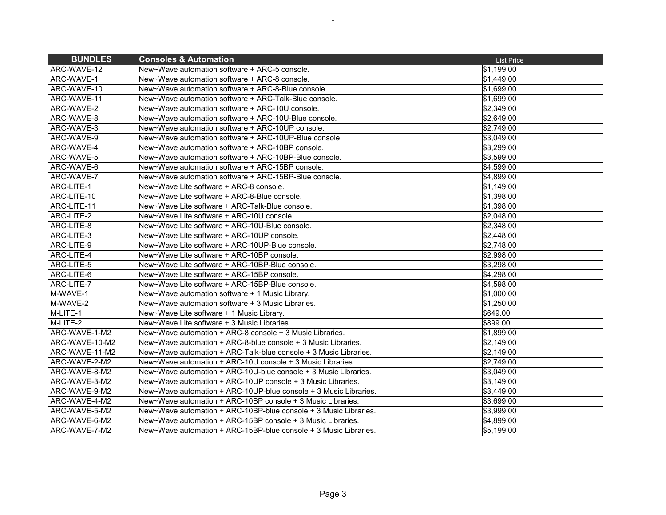| <b>BUNDLES</b> | <b>Consoles &amp; Automation</b>                                 | <b>List Price</b>      |
|----------------|------------------------------------------------------------------|------------------------|
| ARC-WAVE-12    | New~Wave automation software + ARC-5 console.                    | \$1,199.00             |
| ARC-WAVE-1     | New~Wave automation software + ARC-8 console.                    | \$1,449.00             |
| ARC-WAVE-10    | New~Wave automation software + ARC-8-Blue console.               | $\overline{$}1,699.00$ |
| ARC-WAVE-11    | New~Wave automation software + ARC-Talk-Blue console.            | \$1,699.00             |
| ARC-WAVE-2     | New~Wave automation software + ARC-10U console.                  | \$2,349.00             |
| ARC-WAVE-8     | New~Wave automation software + ARC-10U-Blue console.             | \$2,649.00             |
| ARC-WAVE-3     | New~Wave automation software + ARC-10UP console.                 | \$2,749.00             |
| ARC-WAVE-9     | New~Wave automation software + ARC-10UP-Blue console.            | \$3,049.00             |
| ARC-WAVE-4     | New~Wave automation software + ARC-10BP console.                 | \$3,299.00             |
| ARC-WAVE-5     | New~Wave automation software + ARC-10BP-Blue console.            | \$3,599.00             |
| ARC-WAVE-6     | New~Wave automation software + ARC-15BP console.                 | \$4,599.00             |
| ARC-WAVE-7     | New~Wave automation software + ARC-15BP-Blue console.            | \$4,899.00             |
| ARC-LITE-1     | New~Wave Lite software + ARC-8 console.                          | \$1,149.00             |
| ARC-LITE-10    | New~Wave Lite software + ARC-8-Blue console.                     | \$1,398.00             |
| ARC-LITE-11    | New~Wave Lite software + ARC-Talk-Blue console.                  | \$1,398.00             |
| ARC-LITE-2     | New~Wave Lite software + ARC-10U console.                        | \$2,048.00             |
| ARC-LITE-8     | New~Wave Lite software + ARC-10U-Blue console.                   | \$2,348.00             |
| ARC-LITE-3     | New~Wave Lite software + ARC-10UP console.                       | \$2,448.00             |
| ARC-LITE-9     | New~Wave Lite software + ARC-10UP-Blue console.                  | \$2,748.00             |
| ARC-LITE-4     | New~Wave Lite software + ARC-10BP console.                       | \$2.998.00             |
| ARC-LITE-5     | New~Wave Lite software + ARC-10BP-Blue console.                  | \$3,298.00             |
| ARC-LITE-6     | New~Wave Lite software + ARC-15BP console.                       | \$4,298.00             |
| ARC-LITE-7     | New~Wave Lite software + ARC-15BP-Blue console.                  | \$4,598.00             |
| M-WAVE-1       | New~Wave automation software + 1 Music Library.                  | \$1,000.00             |
| M-WAVE-2       | New~Wave automation software + 3 Music Libraries.                | \$1,250.00             |
| M-LITE-1       | New~Wave Lite software + 1 Music Library.                        | \$649.00               |
| M-LITE-2       | New~Wave Lite software + 3 Music Libraries.                      | \$899.00               |
| ARC-WAVE-1-M2  | New~Wave automation + ARC-8 console + 3 Music Libraries.         | \$1,899.00             |
| ARC-WAVE-10-M2 | New~Wave automation + ARC-8-blue console + 3 Music Libraries.    | \$2,149.00             |
| ARC-WAVE-11-M2 | New~Wave automation + ARC-Talk-blue console + 3 Music Libraries. | \$2,149.00             |
| ARC-WAVE-2-M2  | New~Wave automation + ARC-10U console + 3 Music Libraries.       | \$2,749.00             |
| ARC-WAVE-8-M2  | New~Wave automation + ARC-10U-blue console + 3 Music Libraries.  | \$3,049.00             |
| ARC-WAVE-3-M2  | New~Wave automation + ARC-10UP console + 3 Music Libraries.      | \$3,149.00             |
| ARC-WAVE-9-M2  | New~Wave automation + ARC-10UP-blue console + 3 Music Libraries. | \$3,449.00             |
| ARC-WAVE-4-M2  | New~Wave automation + ARC-10BP console + 3 Music Libraries.      | \$3,699.00             |
| ARC-WAVE-5-M2  | New~Wave automation + ARC-10BP-blue console + 3 Music Libraries. | \$3,999.00             |
| ARC-WAVE-6-M2  | New~Wave automation + ARC-15BP console + 3 Music Libraries.      | \$4,899.00             |
| ARC-WAVE-7-M2  | New~Wave automation + ARC-15BP-blue console + 3 Music Libraries. | \$5,199.00             |

-